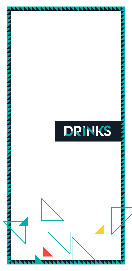# DRINKS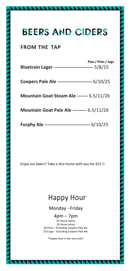## **BEERS AND CIDERS**

## **FROM THE TAP**

| Bluetrain Lager ------------------------- 5/8/15  | Pots / Pints / Jugs |
|---------------------------------------------------|---------------------|
| Coopers Pale Ale ---------------------- 6/10/25   |                     |
| Mountain Goat Steam Ale ------- 6.5/11/26         |                     |
| <b>Mountain Goat Pale Ale --------- 6.5/11/26</b> |                     |
| Furphy Ale ---------------------------- 6/10/25   |                     |

Enjoy our beers? Take a litre home with you for \$15 !!

## Happy Hour

## Monday - Friday

### 4pm – 7pm

\$5 House spirits \$5 House wines \$8 Pints – Excluding Coopers Pale Ale. \$15 Jugs – Excluding Coopers Pale Ale.

\*Happy Hour in bar area only\*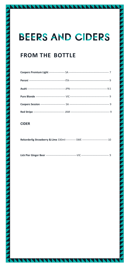## **BEERS AND CIDERS**

## **FROM THE BOTTLE**

### **CIDER**

|--|--|--|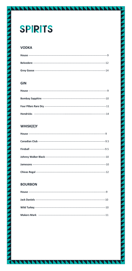# **SPIRITS**

## **VODKA**

| House - |     |
|---------|-----|
|         | 12  |
|         | .14 |

### **GIN**

## WHISK(E)Y

### **BOURBON**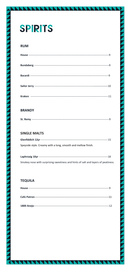# **SPIRITS**

### **RUM**

### **BRANDY**

### **SINGLE MALTS**

| Speyside style. Creamy with a long, smooth and mellow finish. |  |
|---------------------------------------------------------------|--|

| Smokey nose with surprising sweetness and hints of salt and layers of peatiness |
|---------------------------------------------------------------------------------|

### **TEQUILA**

|                                        | .11 |
|----------------------------------------|-----|
| 1800 Anejo--<br>______________________ |     |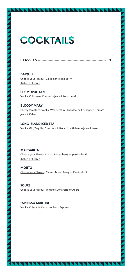## **COCKTAILS**

| <b>CLASSICS</b> |  |
|-----------------|--|
|-----------------|--|

**DAIQUIRI** Choose your Flavour- Classic or Mixed Berry Shaken or Frozen

**COSMOPOLITAN** Vodka, Cointreau, Cranberry juice & fresh lime!

**BLOODY MARY** Cherry tomatoes, Vodka, Worstershire, Tobasco, salt & pepper, Tomato juice & Celery.

**LONG ISLAND ICED TEA** Vodka, Gin, Tequila, Cointreau & Bacardi, with lemon juice & coke.

**MARGARITA** Choose your Flavour Classic, Mixed berry or passionfruit! Shaken or Frozen

**MOJITO** Choose your Flavour- Classic, Mixed Berry or Passionfruit

**SOURS**  Choose your Flavour- Whiskey, Amaretto or Aperol

**ESPRESSO MARTINI** Vodka, Crème de Cacao w/ Fresh Espresso.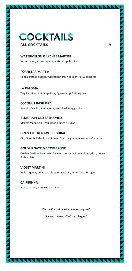## **COCKTAILS ALL COCKTAILS** ------------------------------------------------ 19

**WATERMELON & LYCHEE MARTINI** Watermelon, lychee liqueur, vodka & apple juice

**PORNSTAR MARTINI** Vodka, Passoa passionfruit liqueur, fresh passionfruit & prosecco

**LA PALOMA** Tequila, Mint, Pink Grapefruit, Agave syrup & Lime juice

**COCONUT BASIL FIZZ** Sloe gin, Malibu, lemon juice, fresh basil & egg white

**BLUETRAIN OLD FASHIONED** Makers Mark, Cointreau Blood orange & sugar

**GIN & ELDERFLOWER HIGHBALL** Gin, Fiorente Elderflower liqueur, Sparkling mineral water & Cucumber.

#### **GOLDEN GAYTIME TOBLERONE**

Golden Gaytime ice-cream, Baileys, chocolate liqueur, Frangelico, honey & chocolate

**VIOLET MARTINI** Violet liqueur, Cointreau blood orange, gin, lemon juice & sugar

**CAIPIRINHA** Bati dark rum, Palm sugar & Lime

\*Classic Cocktails available upon request\*

\*Please advise staff of any allergies\*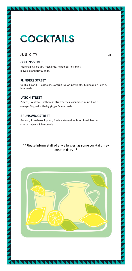## **COCKTAILS**

#### **JUG CITY** ---------------------------------------------------------- **28**

#### **COLLINS STREET**

Vickers gin, sloe gin, fresh lime, mixed berries, mint leaves, cranberry & soda.

#### **FLINDERS STREET**

Vodka, Licor 43, Passoa passionfruit liquor, passionfruit, pineapple juice & lemonade.

#### **LYGON STREET**

Pimms, Cointreau, with fresh strawberries, cucumber, mint, lime & orange. Topped with dry ginger & lemonade.

#### **BRUNSWICK STREET**

Bacardi, Strawberry liqueur, fresh watermelon, Mint, Fresh lemon, cranberry juice & lemonade

#### \*\*Please inform staff of any allergies, as some cocktails may contain dairy \*\*

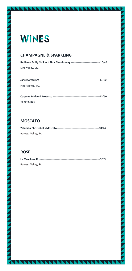## **WINES**

### **CHAMPAGNE & SPARKLING**

**Redbank Emily NV Pinot Noir Chardonnay** ---------------------------------10/44 King Valley, VIC

| Pipers River, TAS |  |
|-------------------|--|

**Carpene Malvolti Prosecco** -----------------------------------------------------13/60 Veneto, Italy

## **MOSCATO**

| Barossa Valley, SA |  |
|--------------------|--|

## **ROSÉ**

| Barossa Valley, SA |  |  |
|--------------------|--|--|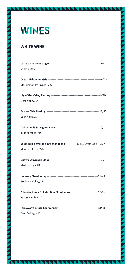## **WINES**

### **WHITE WINE**

| Veneto, Italy                                                                  |  |
|--------------------------------------------------------------------------------|--|
|                                                                                |  |
|                                                                                |  |
| Mornington Peninsula, VIC                                                      |  |
|                                                                                |  |
|                                                                                |  |
| Clare Valley, SA                                                               |  |
|                                                                                |  |
|                                                                                |  |
| Eden Valley, SA                                                                |  |
|                                                                                |  |
| Marlborough, NZ                                                                |  |
|                                                                                |  |
|                                                                                |  |
| Vasse Felix Semillon Sauvignon Blanc ----------------(Glass/Carafe 500ml) 9/27 |  |
| Margaret River, WA                                                             |  |
|                                                                                |  |
|                                                                                |  |
| Marlborough, NZ                                                                |  |
|                                                                                |  |
|                                                                                |  |
| Goulburn Valley, VIC                                                           |  |
|                                                                                |  |
| Yalumba Samuel's Collection Chardonnay -------------------------------12/55    |  |
| <b>Barossa Valley, SA</b>                                                      |  |
|                                                                                |  |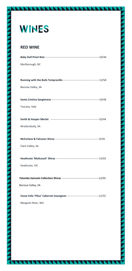

## **RED WINE**

| Marlborough, NZ    |  |
|--------------------|--|
|                    |  |
|                    |  |
| Barossa Valley, SA |  |
|                    |  |
|                    |  |
| Tuscany, Italy     |  |
|                    |  |
|                    |  |
| Wrattonbully, SA   |  |
|                    |  |
|                    |  |
| Clare Valley, SA   |  |
|                    |  |
|                    |  |
| Heathcote, VIC     |  |
|                    |  |
|                    |  |
| Barossa Valley, SA |  |
|                    |  |
| Margaret River, WA |  |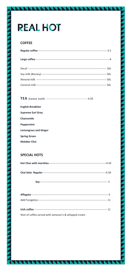# **REAL HOT**

### **COFFEE**

#### TEA (Loose Leaf) -------- $-----4.50$

| <b>English Breakfast</b>     |
|------------------------------|
| <b>Supreme Earl Grey</b>     |
| Chamomile                    |
| Peppermint                   |
| <b>Lemongrass and Ginger</b> |
| <b>Spring Green</b>          |
| Malabar Chai                 |

#### **SPECIAL HOTS**

| -4.50 |
|-------|
| -4.50 |
|       |

| Shot of coffee served with Jameson's & whipped cream |  |
|------------------------------------------------------|--|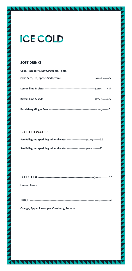## **ICE COLD**

#### **SOFT DRINKS**

| Coke, Raspberry, Dry Ginger ale, Fanta, |  |
|-----------------------------------------|--|
|                                         |  |
|                                         |  |
|                                         |  |
|                                         |  |

#### **BOTTLED WATER**

| <b>San Pellegrino sparkling mineral water</b> ---------------------- (500ml) -------6.5 |  |
|-----------------------------------------------------------------------------------------|--|
| San Pellegrino sparkling mineral water --------------------- (1 litre) --------12       |  |

**Lemon, Peach**

| <b>JUICE</b> |  |  |
|--------------|--|--|
|              |  |  |
|              |  |  |

**Orange, Apple, Pineapple, Cranberry, Tomato**